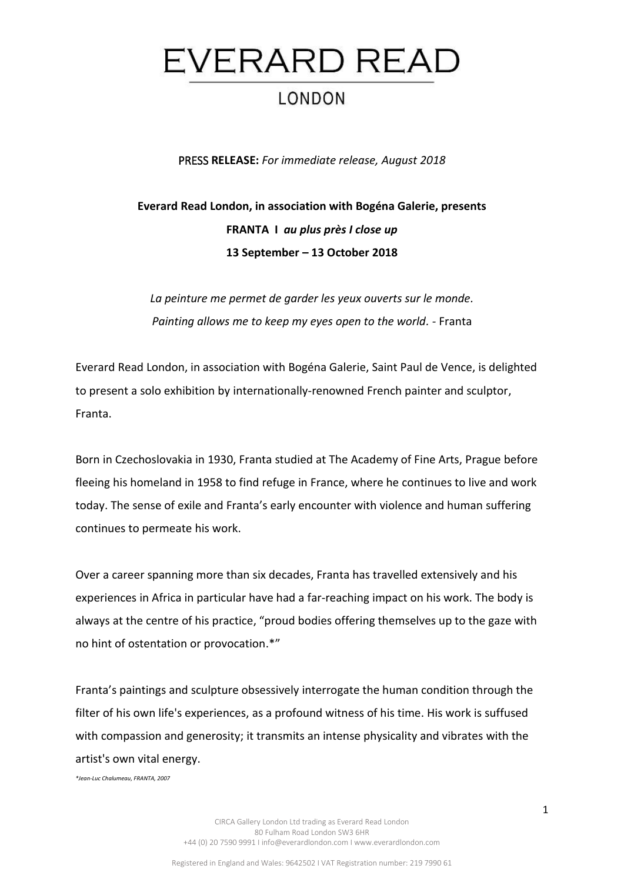

PRESS **RELEASE:** *For immediate release, August 2018*

## **Everard Read London, in association with Bogéna Galerie, presents FRANTA I** *au plus près I close up* **13 September – 13 October 2018**

*La peinture me permet de garder les yeux ouverts sur le monde. Painting allows me to keep my eyes open to the world. -* Franta

Everard Read London, in association with Bogéna Galerie, Saint Paul de Vence, is delighted to present a solo exhibition by internationally-renowned French painter and sculptor, Franta.

Born in Czechoslovakia in 1930, Franta studied at The Academy of Fine Arts, Prague before fleeing his homeland in 1958 to find refuge in France, where he continues to live and work today. The sense of exile and Franta's early encounter with violence and human suffering continues to permeate his work.

Over a career spanning more than six decades, Franta has travelled extensively and his experiences in Africa in particular have had a far-reaching impact on his work. The body is always at the centre of his practice, "proud bodies offering themselves up to the gaze with no hint of ostentation or provocation.\*"

Franta's paintings and sculpture obsessively interrogate the human condition through the filter of his own life's experiences, as a profound witness of his time. His work is suffused with compassion and generosity; it transmits an intense physicality and vibrates with the artist's own vital energy.

*\*Jean-Luc Chalumeau, FRANTA, 2007*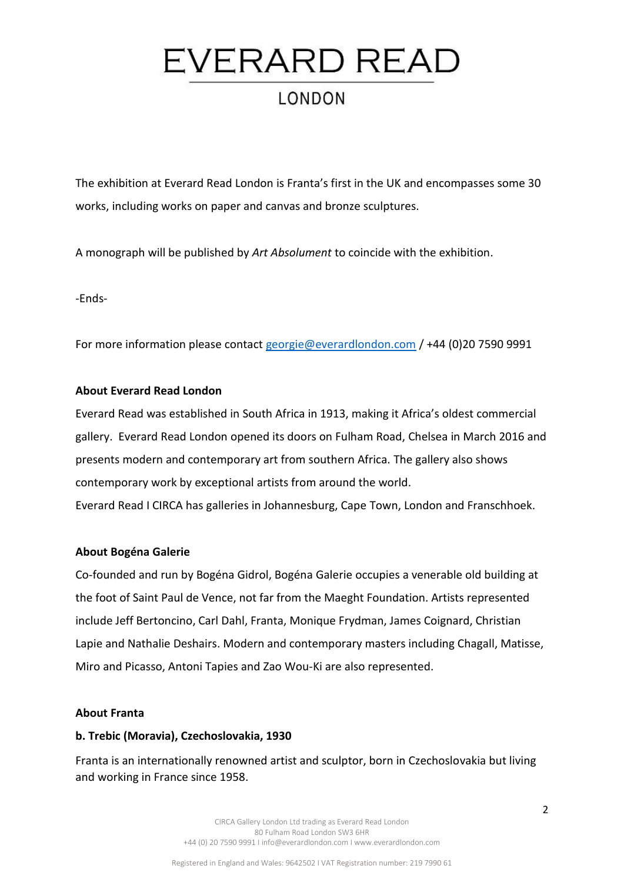# EVERARD READ **LONDON**

The exhibition at Everard Read London is Franta's first in the UK and encompasses some 30 works, including works on paper and canvas and bronze sculptures.

A monograph will be published by *Art Absolument* to coincide with the exhibition.

-Ends-

For more information please contact [georgie@everardlondon.com](mailto:georgie@everardlondon.com) / +44 (0)20 7590 9991

#### **About Everard Read London**

Everard Read was established in South Africa in 1913, making it Africa's oldest commercial gallery. Everard Read London opened its doors on Fulham Road, Chelsea in March 2016 and presents modern and contemporary art from southern Africa. The gallery also shows contemporary work by exceptional artists from around the world. Everard Read I CIRCA has galleries in Johannesburg, Cape Town, London and Franschhoek.

#### **About Bogéna Galerie**

Co-founded and run by Bogéna Gidrol, Bogéna Galerie occupies a venerable old building at the foot of Saint Paul de Vence, not far from the Maeght Foundation. Artists represented include Jeff Bertoncino, Carl Dahl, Franta, Monique Frydman, James Coignard, Christian Lapie and Nathalie Deshairs. Modern and contemporary masters including Chagall, Matisse, Miro and Picasso, Antoni Tapies and Zao Wou-Ki are also represented.

#### **About Franta**

### **b. Trebic (Moravia), Czechoslovakia, 1930**

Franta is an internationally renowned artist and sculptor, born in Czechoslovakia but living and working in France since 1958.